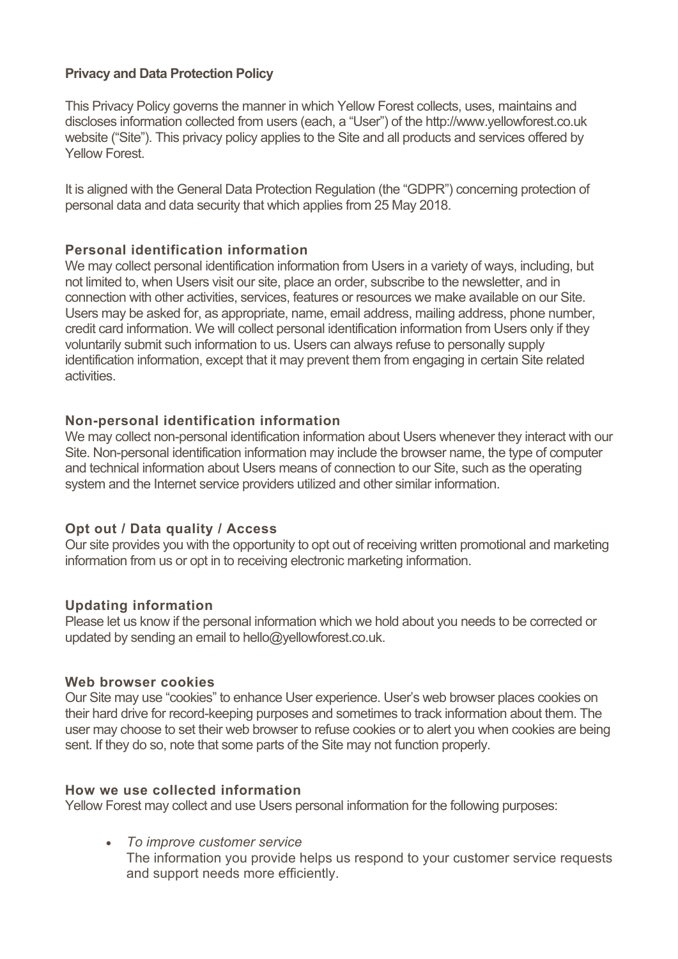# **Privacy and Data Protection Policy**

This Privacy Policy governs the manner in which Yellow Forest collects, uses, maintains and discloses information collected from users (each, a "User") of the http://www.yellowforest.co.uk website ("Site"). This privacy policy applies to the Site and all products and services offered by Yellow Forest.

It is aligned with the General Data Protection Regulation (the "GDPR") concerning protection of personal data and data security that which applies from 25 May 2018.

# **Personal identification information**

We may collect personal identification information from Users in a variety of ways, including, but not limited to, when Users visit our site, place an order, subscribe to the newsletter, and in connection with other activities, services, features or resources we make available on our Site. Users may be asked for, as appropriate, name, email address, mailing address, phone number, credit card information. We will collect personal identification information from Users only if they voluntarily submit such information to us. Users can always refuse to personally supply identification information, except that it may prevent them from engaging in certain Site related activities.

## **Non-personal identification information**

We may collect non-personal identification information about Users whenever they interact with our Site. Non-personal identification information may include the browser name, the type of computer and technical information about Users means of connection to our Site, such as the operating system and the Internet service providers utilized and other similar information.

## **Opt out / Data quality / Access**

Our site provides you with the opportunity to opt out of receiving written promotional and marketing information from us or opt in to receiving electronic marketing information.

## **Updating information**

Please let us know if the personal information which we hold about you needs to be corrected or updated by sending an email to hello@yellowforest.co.uk.

#### **Web browser cookies**

Our Site may use "cookies" to enhance User experience. User's web browser places cookies on their hard drive for record-keeping purposes and sometimes to track information about them. The user may choose to set their web browser to refuse cookies or to alert you when cookies are being sent. If they do so, note that some parts of the Site may not function properly.

#### **How we use collected information**

Yellow Forest may collect and use Users personal information for the following purposes:

• *To improve customer service* The information you provide helps us respond to your customer service requests and support needs more efficiently.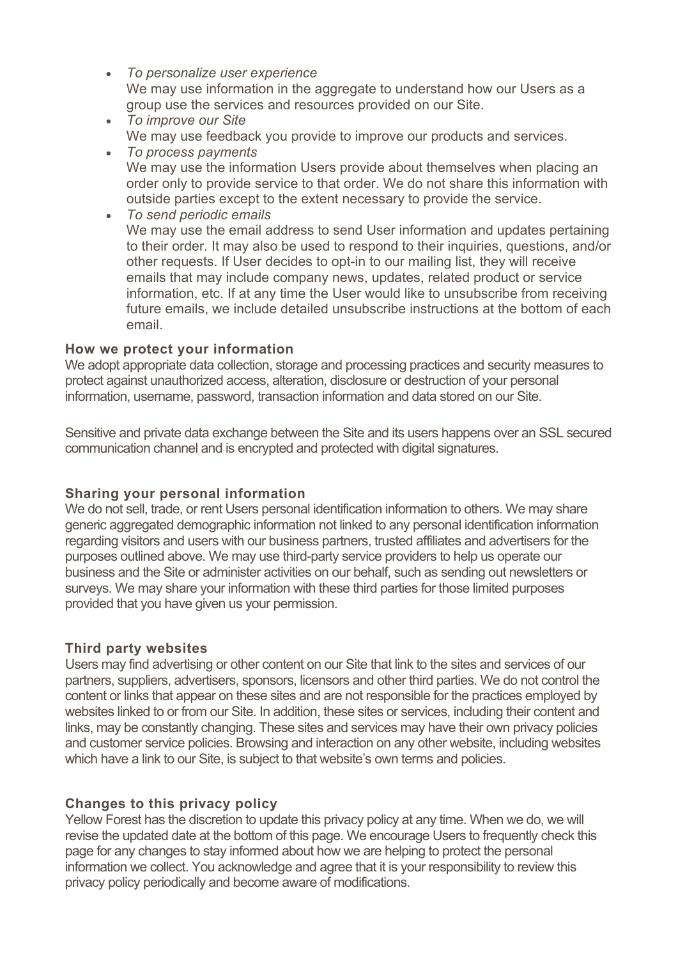- *To personalize user experience* We may use information in the aggregate to understand how our Users as a group use the services and resources provided on our Site.
- *To improve our Site* We may use feedback you provide to improve our products and services.
- *To process payments* We may use the information Users provide about themselves when placing an order only to provide service to that order. We do not share this information with outside parties except to the extent necessary to provide the service.
- *To send periodic emails* We may use the email address to send User information and updates pertaining to their order. It may also be used to respond to their inquiries, questions, and/or other requests. If User decides to opt-in to our mailing list, they will receive emails that may include company news, updates, related product or service information, etc. If at any time the User would like to unsubscribe from receiving future emails, we include detailed unsubscribe instructions at the bottom of each email.

# **How we protect your information**

We adopt appropriate data collection, storage and processing practices and security measures to protect against unauthorized access, alteration, disclosure or destruction of your personal information, username, password, transaction information and data stored on our Site.

Sensitive and private data exchange between the Site and its users happens over an SSL secured communication channel and is encrypted and protected with digital signatures.

# **Sharing your personal information**

We do not sell, trade, or rent Users personal identification information to others. We may share generic aggregated demographic information not linked to any personal identification information regarding visitors and users with our business partners, trusted affiliates and advertisers for the purposes outlined above. We may use third-party service providers to help us operate our business and the Site or administer activities on our behalf, such as sending out newsletters or surveys. We may share your information with these third parties for those limited purposes provided that you have given us your permission.

# **Third party websites**

Users may find advertising or other content on our Site that link to the sites and services of our partners, suppliers, advertisers, sponsors, licensors and other third parties. We do not control the content or links that appear on these sites and are not responsible for the practices employed by websites linked to or from our Site. In addition, these sites or services, including their content and links, may be constantly changing. These sites and services may have their own privacy policies and customer service policies. Browsing and interaction on any other website, including websites which have a link to our Site, is subject to that website's own terms and policies.

# **Changes to this privacy policy**

Yellow Forest has the discretion to update this privacy policy at any time. When we do, we will revise the updated date at the bottom of this page. We encourage Users to frequently check this page for any changes to stay informed about how we are helping to protect the personal information we collect. You acknowledge and agree that it is your responsibility to review this privacy policy periodically and become aware of modifications.